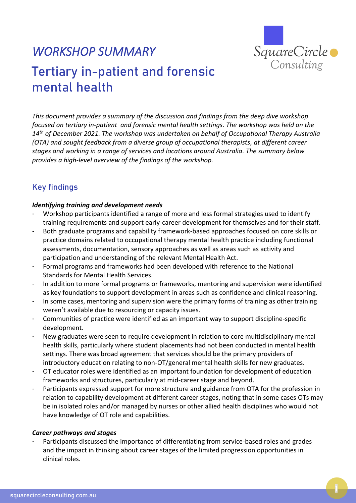

# *WORKSHOP SUMMARY*  Tertiary in-patient and forensic mental health

*This document provides a summary of the discussion and findings from the deep dive workshop focused on tertiary in-patient and forensic mental health settings. The workshop was held on the 14th of December 2021. The workshop was undertaken on behalf of Occupational Therapy Australia (OTA) and sought feedback from a diverse group of occupational therapists, at different career stages and working in a range of services and locations around Australia. The summary below provides a high-level overview of the findings of the workshop.*

# Key findings

## *Identifying training and development needs*

- Workshop participants identified a range of more and less formal strategies used to identify training requirements and support early-career development for themselves and for their staff.
- Both graduate programs and capability framework-based approaches focused on core skills or practice domains related to occupational therapy mental health practice including functional assessments, documentation, sensory approaches as well as areas such as activity and participation and understanding of the relevant Mental Health Act.
- Formal programs and frameworks had been developed with reference to the National Standards for Mental Health Services.
- In addition to more formal programs or frameworks, mentoring and supervision were identified as key foundations to support development in areas such as confidence and clinical reasoning.
- In some cases, mentoring and supervision were the primary forms of training as other training weren't available due to resourcing or capacity issues.
- Communities of practice were identified as an important way to support discipline-specific development.
- New graduates were seen to require development in relation to core multidisciplinary mental health skills, particularly where student placements had not been conducted in mental health settings. There was broad agreement that services should be the primary providers of introductory education relating to non-OT/general mental health skills for new graduates.
- OT educator roles were identified as an important foundation for development of education frameworks and structures, particularly at mid-career stage and beyond.
- Participants expressed support for more structure and guidance from OTA for the profession in relation to capability development at different career stages, noting that in some cases OTs may be in isolated roles and/or managed by nurses or other allied health disciplines who would not have knowledge of OT role and capabilities.

#### *Career pathways and stages*

Participants discussed the importance of differentiating from service-based roles and grades and the impact in thinking about career stages of the limited progression opportunities in clinical roles.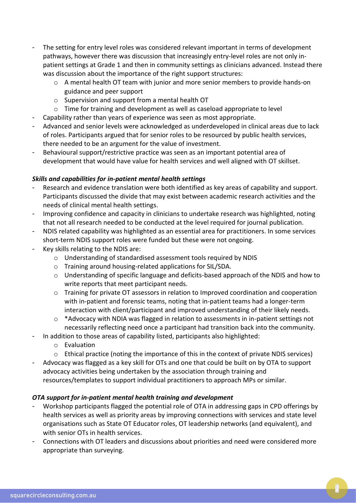- The setting for entry level roles was considered relevant important in terms of development pathways, however there was discussion that increasingly entry-level roles are not only inpatient settings at Grade 1 and then in community settings as clinicians advanced. Instead there was discussion about the importance of the right support structures:
	- o A mental health OT team with junior and more senior members to provide hands-on guidance and peer support
	- o Supervision and support from a mental health OT
	- $\circ$  Time for training and development as well as caseload appropriate to level
- Capability rather than years of experience was seen as most appropriate.
- Advanced and senior levels were acknowledged as underdeveloped in clinical areas due to lack of roles. Participants argued that for senior roles to be resourced by public health services, there needed to be an argument for the value of investment.
- Behavioural support/restrictive practice was seen as an important potential area of development that would have value for health services and well aligned with OT skillset.

## *Skills and capabilities for in-patient mental health settings*

- Research and evidence translation were both identified as key areas of capability and support. Participants discussed the divide that may exist between academic research activities and the needs of clinical mental health settings.
- Improving confidence and capacity in clinicians to undertake research was highlighted, noting that not all research needed to be conducted at the level required for journal publication.
- NDIS related capability was highlighted as an essential area for practitioners. In some services short-term NDIS support roles were funded but these were not ongoing.
- Key skills relating to the NDIS are:
	- o Understanding of standardised assessment tools required by NDIS
	- o Training around housing-related applications for SIL/SDA.
	- o Understanding of specific language and deficits-based approach of the NDIS and how to write reports that meet participant needs.
	- o Training for private OT assessors in relation to Improved coordination and cooperation with in-patient and forensic teams, noting that in-patient teams had a longer-term interaction with client/participant and improved understanding of their likely needs.
	- o \*Advocacy with NDIA was flagged in relation to assessments in in-patient settings not necessarily reflecting need once a participant had transition back into the community.
- In addition to those areas of capability listed, participants also highlighted:
	- o Evaluation
	- o Ethical practice (noting the importance of this in the context of private NDIS services)
- Advocacy was flagged as a key skill for OTs and one that could be built on by OTA to support advocacy activities being undertaken by the association through training and resources/templates to support individual practitioners to approach MPs or similar.

## *OTA support for in-patient mental health training and development*

- Workshop participants flagged the potential role of OTA in addressing gaps in CPD offerings by health services as well as priority areas by improving connections with services and state level organisations such as State OT Educator roles, OT leadership networks (and equivalent), and with senior OTs in health services.
- Connections with OT leaders and discussions about priorities and need were considered more appropriate than surveying.